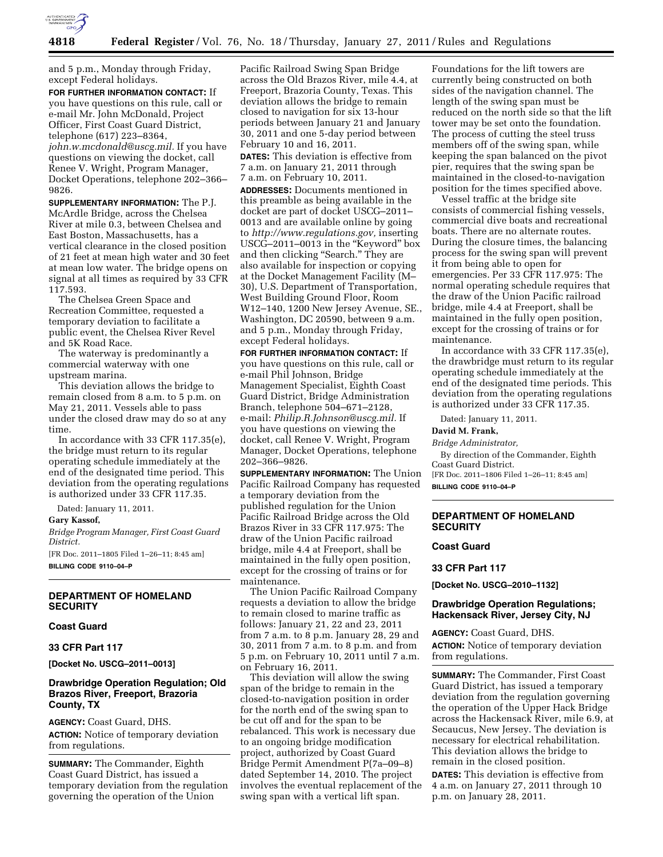

and 5 p.m., Monday through Friday, except Federal holidays.

**FOR FURTHER INFORMATION CONTACT:** If you have questions on this rule, call or e-mail Mr. John McDonald, Project Officer, First Coast Guard District, telephone (617) 223–8364, *[john.w.mcdonald@uscg.mil.](mailto:john.w.mcdonald@uscg.mil)* If you have questions on viewing the docket, call Renee V. Wright, Program Manager, Docket Operations, telephone 202–366– 9826.

**SUPPLEMENTARY INFORMATION:** The P.J. McArdle Bridge, across the Chelsea River at mile 0.3, between Chelsea and East Boston, Massachusetts, has a vertical clearance in the closed position of 21 feet at mean high water and 30 feet at mean low water. The bridge opens on signal at all times as required by 33 CFR 117.593.

The Chelsea Green Space and Recreation Committee, requested a temporary deviation to facilitate a public event, the Chelsea River Revel and 5K Road Race.

The waterway is predominantly a commercial waterway with one upstream marina.

This deviation allows the bridge to remain closed from 8 a.m. to 5 p.m. on May 21, 2011. Vessels able to pass under the closed draw may do so at any time.

In accordance with 33 CFR 117.35(e), the bridge must return to its regular operating schedule immediately at the end of the designated time period. This deviation from the operating regulations is authorized under 33 CFR 117.35.

Dated: January 11, 2011.

**Gary Kassof,** 

*Bridge Program Manager, First Coast Guard District.* 

[FR Doc. 2011–1805 Filed 1–26–11; 8:45 am] **BILLING CODE 9110–04–P** 

#### **DEPARTMENT OF HOMELAND SECURITY**

## **Coast Guard**

## **33 CFR Part 117**

**[Docket No. USCG–2011–0013]** 

## **Drawbridge Operation Regulation; Old Brazos River, Freeport, Brazoria County, TX**

**AGENCY:** Coast Guard, DHS.

**ACTION:** Notice of temporary deviation from regulations.

**SUMMARY:** The Commander, Eighth Coast Guard District, has issued a temporary deviation from the regulation governing the operation of the Union

Pacific Railroad Swing Span Bridge across the Old Brazos River, mile 4.4, at Freeport, Brazoria County, Texas. This deviation allows the bridge to remain closed to navigation for six 13-hour periods between January 21 and January 30, 2011 and one 5-day period between February 10 and 16, 2011.

**DATES:** This deviation is effective from 7 a.m. on January 21, 2011 through 7 a.m. on February 10, 2011.

**ADDRESSES:** Documents mentioned in this preamble as being available in the docket are part of docket USCG–2011– 0013 and are available online by going to *[http://www.regulations.gov,](http://www.regulations.gov)* inserting USCG-2011-0013 in the "Keyword" box and then clicking "Search." They are also available for inspection or copying at the Docket Management Facility (M– 30), U.S. Department of Transportation, West Building Ground Floor, Room W12–140, 1200 New Jersey Avenue, SE., Washington, DC 20590, between 9 a.m. and 5 p.m., Monday through Friday, except Federal holidays.

**FOR FURTHER INFORMATION CONTACT:** If you have questions on this rule, call or e-mail Phil Johnson, Bridge Management Specialist, Eighth Coast Guard District, Bridge Administration Branch, telephone 504–671–2128, e-mail: *[Philip.R.Johnson@uscg.mil.](mailto:Philip.R.Johnson@uscg.mil)* If you have questions on viewing the docket, call Renee V. Wright, Program Manager, Docket Operations, telephone 202–366–9826.

**SUPPLEMENTARY INFORMATION:** The Union Pacific Railroad Company has requested a temporary deviation from the published regulation for the Union Pacific Railroad Bridge across the Old Brazos River in 33 CFR 117.975: The draw of the Union Pacific railroad bridge, mile 4.4 at Freeport, shall be maintained in the fully open position, except for the crossing of trains or for maintenance.

The Union Pacific Railroad Company requests a deviation to allow the bridge to remain closed to marine traffic as follows: January 21, 22 and 23, 2011 from 7 a.m. to 8 p.m. January 28, 29 and 30, 2011 from 7 a.m. to 8 p.m. and from 5 p.m. on February 10, 2011 until 7 a.m. on February 16, 2011.

This deviation will allow the swing span of the bridge to remain in the closed-to-navigation position in order for the north end of the swing span to be cut off and for the span to be rebalanced. This work is necessary due to an ongoing bridge modification project, authorized by Coast Guard Bridge Permit Amendment P(7a–09–8) dated September 14, 2010. The project involves the eventual replacement of the swing span with a vertical lift span.

Foundations for the lift towers are currently being constructed on both sides of the navigation channel. The length of the swing span must be reduced on the north side so that the lift tower may be set onto the foundation. The process of cutting the steel truss members off of the swing span, while keeping the span balanced on the pivot pier, requires that the swing span be maintained in the closed-to-navigation position for the times specified above.

Vessel traffic at the bridge site consists of commercial fishing vessels, commercial dive boats and recreational boats. There are no alternate routes. During the closure times, the balancing process for the swing span will prevent it from being able to open for emergencies. Per 33 CFR 117.975: The normal operating schedule requires that the draw of the Union Pacific railroad bridge, mile 4.4 at Freeport, shall be maintained in the fully open position, except for the crossing of trains or for maintenance.

In accordance with 33 CFR 117.35(e), the drawbridge must return to its regular operating schedule immediately at the end of the designated time periods. This deviation from the operating regulations is authorized under 33 CFR 117.35.

Dated: January 11, 2011.

**David M. Frank,** 

*Bridge Administrator,*  By direction of the Commander, Eighth Coast Guard District. [FR Doc. 2011–1806 Filed 1–26–11; 8:45 am]

**BILLING CODE 9110–04–P** 

# **DEPARTMENT OF HOMELAND SECURITY**

## **Coast Guard**

**33 CFR Part 117** 

**[Docket No. USCG–2010–1132]** 

### **Drawbridge Operation Regulations; Hackensack River, Jersey City, NJ**

**AGENCY:** Coast Guard, DHS.

**ACTION:** Notice of temporary deviation from regulations.

**SUMMARY:** The Commander, First Coast Guard District, has issued a temporary deviation from the regulation governing the operation of the Upper Hack Bridge across the Hackensack River, mile 6.9, at Secaucus, New Jersey. The deviation is necessary for electrical rehabilitation. This deviation allows the bridge to remain in the closed position.

**DATES:** This deviation is effective from 4 a.m. on January 27, 2011 through 10 p.m. on January 28, 2011.